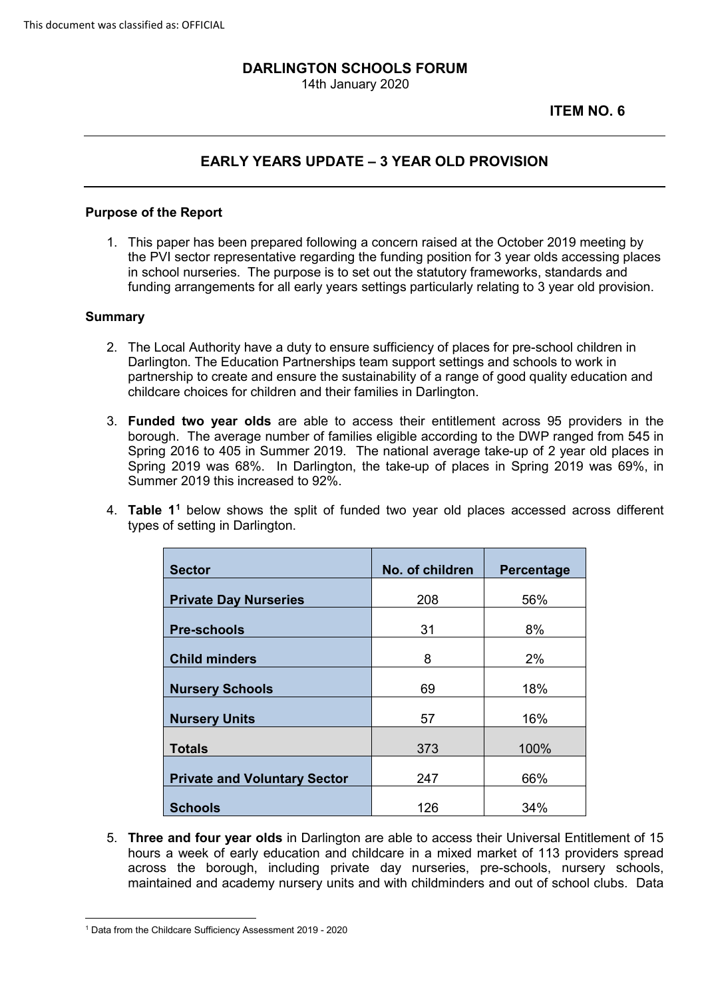# **DARLINGTON SCHOOLS FORUM**

14th January 2020

### **ITEM NO. 6**

## **EARLY YEARS UPDATE – 3 YEAR OLD PROVISION**

#### **Purpose of the Report**

 in school nurseries. The purpose is to set out the statutory frameworks, standards and funding arrangements for all early years settings particularly relating to 3 year old provision. 1. This paper has been prepared following a concern raised at the October 2019 meeting by the PVI sector representative regarding the funding position for 3 year olds accessing places

#### **Summary**

- 2. The Local Authority have a duty to ensure sufficiency of places for pre-school children in partnership to create and ensure the sustainability of a range of good quality education and Darlington. The Education Partnerships team support settings and schools to work in childcare choices for children and their families in Darlington.
- 3. **Funded two year olds** are able to access their entitlement across 95 providers in the Spring 2016 to 405 in Summer 2019. The national average take-up of 2 year old places in Summer 2019 this increased to 92%. borough. The average number of families eligible according to the DWP ranged from 545 in Spring 2019 was 68%. In Darlington, the take-up of places in Spring 2019 was 69%, in
- Summer 2019 this increased to 92%. 4. **Table 11** below shows the split of funded two year old places accessed across different types of setting in Darlington.

| <b>Sector</b>                       | No. of children | Percentage |
|-------------------------------------|-----------------|------------|
| <b>Private Day Nurseries</b>        | 208             | 56%        |
| <b>Pre-schools</b>                  | 31              | 8%         |
| <b>Child minders</b>                | 8               | 2%         |
| <b>Nursery Schools</b>              | 69              | 18%        |
| <b>Nursery Units</b>                | 57              | 16%        |
| <b>Totals</b>                       | 373             | 100%       |
| <b>Private and Voluntary Sector</b> | 247             | 66%        |
| <b>Schools</b>                      | 126             | 34%        |

 maintained and academy nursery units and with childminders and out of school clubs. Data 5. **Three and four year olds** in Darlington are able to access their Universal Entitlement of 15 hours a week of early education and childcare in a mixed market of 113 providers spread across the borough, including private day nurseries, pre-schools, nursery schools,

<span id="page-0-0"></span><sup>&</sup>lt;u>.</u> 1 Data from the Childcare Sufficiency Assessment 2019 - 2020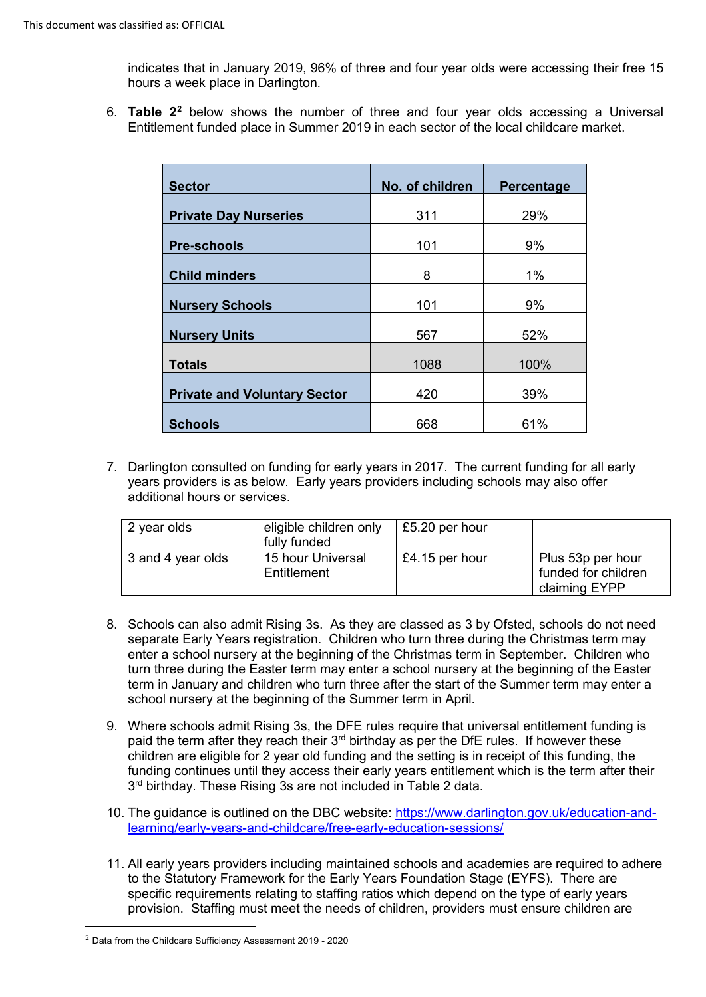indicates that in January 2019, 96% of three and four year olds were accessing their free 15 hours a week place in Darlington.

6. **Table 2[2](#page-1-0)** below shows the number of three and four year olds accessing a Universal Entitlement funded place in Summer 2019 in each sector of the local childcare market.

| <b>Sector</b>                       | No. of children | Percentage |
|-------------------------------------|-----------------|------------|
| <b>Private Day Nurseries</b>        | 311             | 29%        |
| <b>Pre-schools</b>                  | 101             | 9%         |
| <b>Child minders</b>                | 8               | 1%         |
| <b>Nursery Schools</b>              | 101             | 9%         |
| <b>Nursery Units</b>                | 567             | 52%        |
| <b>Totals</b>                       | 1088            | 100%       |
| <b>Private and Voluntary Sector</b> | 420             | 39%        |
| <b>Schools</b>                      | 668             | 61%        |

 7. Darlington consulted on funding for early years in 2017. The current funding for all early years providers is as below. Early years providers including schools may also offer additional hours or services.

| 2 year olds       | eligible children only<br>fully funded | £5.20 per hour |                                                           |
|-------------------|----------------------------------------|----------------|-----------------------------------------------------------|
| 3 and 4 year olds | 15 hour Universal<br>Entitlement       | £4.15 per hour | Plus 53p per hour<br>funded for children<br>claiming EYPP |

- 8. Schools can also admit Rising 3s. As they are classed as 3 by Ofsted, schools do not need separate Early Years registration. Children who turn three during the Christmas term may turn three during the Easter term may enter a school nursery at the beginning of the Easter term in January and children who turn three after the start of the Summer term may enter a enter a school nursery at the beginning of the Christmas term in September. Children who school nursery at the beginning of the Summer term in April.
- 9. Where schools admit Rising 3s, the DFE rules require that universal entitlement funding is paid the term after they reach their 3<sup>rd</sup> birthday as per the DfE rules. If however these children are eligible for 2 year old funding and the setting is in receipt of this funding, the funding continues until they access their early years entitlement which is the term after their  $3<sup>rd</sup>$  birthday. These Rising 3s are not included in Table 2 data.
- 10. The guidance is outlined on the DBC website: [https://www.darlington.gov.uk/education-and](https://www.darlington.gov.uk/education-and-learning/early-years-and-childcare/free-early-education-sessions/)[learning/early-years-and-childcare/free-early-education-sessions/](https://www.darlington.gov.uk/education-and-learning/early-years-and-childcare/free-early-education-sessions/)
- to the Statutory Framework for the Early Years Foundation Stage (EYFS). There are provision. Staffing must meet the needs of children, providers must ensure children are 11. All early years providers including maintained schools and academies are required to adhere specific requirements relating to staffing ratios which depend on the type of early years

-

<span id="page-1-0"></span> $2$  Data from the Childcare Sufficiency Assessment 2019 - 2020